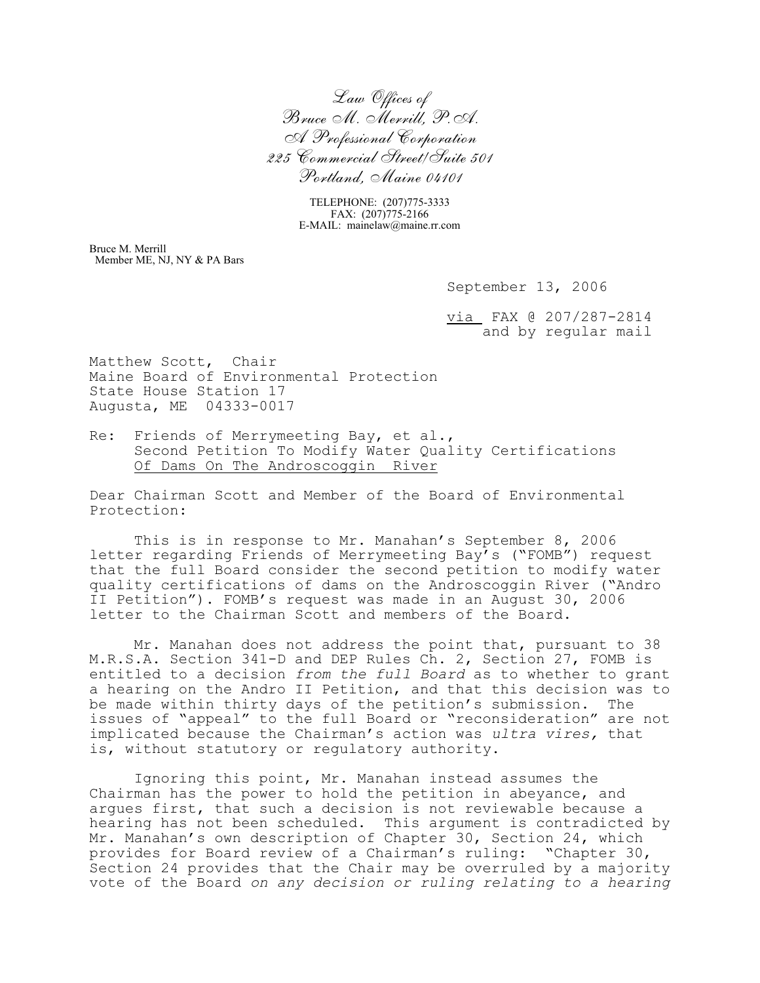*Law Offices of Bruce M. Merrill, P.A. A Professional Corporation 225 Commercial Street/Suite 501 Portland, Maine 04101*

> TELEPHONE: (207)775-3333 FAX: (207)775-2166 E-MAIL: mainelaw@maine.rr.com

Bruce M. Merrill Member ME, NJ, NY & PA Bars

September 13, 2006

via FAX @ 207/287-2814 and by regular mail

Matthew Scott, Chair Maine Board of Environmental Protection State House Station 17 Augusta, ME 04333-0017

Re: Friends of Merrymeeting Bay, et al., Second Petition To Modify Water Quality Certifications Of Dams On The Androscoggin River

Dear Chairman Scott and Member of the Board of Environmental Protection:

This is in response to Mr. Manahan's September 8, 2006 letter regarding Friends of Merrymeeting Bay's ("FOMB") request that the full Board consider the second petition to modify water quality certifications of dams on the Androscoggin River ("Andro II Petition"). FOMB's request was made in an August 30, 2006 letter to the Chairman Scott and members of the Board.

Mr. Manahan does not address the point that, pursuant to 38 M.R.S.A. Section 341-D and DEP Rules Ch. 2, Section 27, FOMB is entitled to a decision *from the full Board* as to whether to grant a hearing on the Andro II Petition, and that this decision was to be made within thirty days of the petition's submission. The issues of "appeal" to the full Board or "reconsideration" are not implicated because the Chairman's action was *ultra vires,* that is, without statutory or regulatory authority.

Ignoring this point, Mr. Manahan instead assumes the Chairman has the power to hold the petition in abeyance, and argues first, that such a decision is not reviewable because a hearing has not been scheduled. This argument is contradicted by Mr. Manahan's own description of Chapter 30, Section 24, which provides for Board review of a Chairman's ruling: "Chapter 30, Section 24 provides that the Chair may be overruled by a majority vote of the Board *on any decision or ruling relating to a hearing*